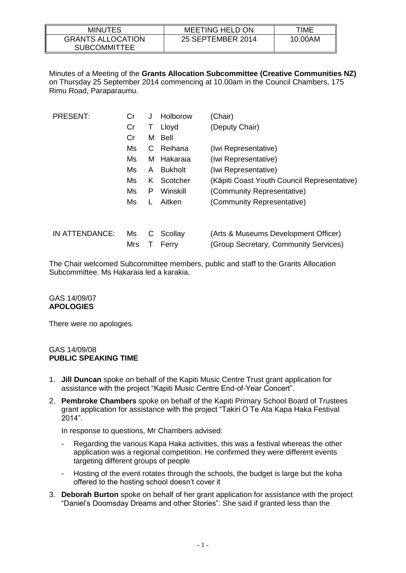| <b>MINUTES</b>                                  | <b>MEETING HELD ON</b> | TIME    |
|-------------------------------------------------|------------------------|---------|
| <b>GRANTS ALLOCATION</b><br><b>SUBCOMMITTEE</b> | 25 SEPTEMBER 2014      | 10.00AM |

Minutes of a Meeting of the **Grants Allocation Subcommittee (Creative Communities NZ)** on Thursday 25 September 2014 commencing at 10.00am in the Council Chambers, 175 Rimu Road, Paraparaumu.

| <b>PRESENT:</b> | Cr         | J  | Holborow       | (Chair)                                     |
|-----------------|------------|----|----------------|---------------------------------------------|
|                 | Cr         | Т  | Lloyd          | (Deputy Chair)                              |
|                 | Cr         | м  | Bell           |                                             |
|                 | Ms         | C  | Reihana        | (Iwi Representative)                        |
|                 | Ms         | м  | Hakaraia       | (Iwi Representative)                        |
|                 | Ms         | A  | <b>Bukholt</b> | (Iwi Representative)                        |
|                 | Ms         | K. | Scotcher       | (Kāpiti Coast Youth Council Representative) |
|                 | Ms         | P  | Winskill       | (Community Representative)                  |
|                 | Ms         | L  | Aitken         | (Community Representative)                  |
|                 |            |    |                |                                             |
| IN ATTENDANCE:  | Ms         | С  | Scollay        | (Arts & Museums Development Officer)        |
|                 | <b>Mrs</b> |    | Ferry          | (Group Secretary, Community Services)       |

The Chair welcomed Subcommittee members, public and staff to the Grants Allocation Subcommittee. Ms Hakaraia led a karakia.

#### GAS 14/09/07 **APOLOGIES**

There were no apologies.

#### GAS 14/09/08 **PUBLIC SPEAKING TIME**

- 1. **Jill Duncan** spoke on behalf of the Kapiti Music Centre Trust grant application for assistance with the project "Kapiti Music Centre End-of-Year Concert".
- 2. **Pembroke Chambers** spoke on behalf of the Kapiti Primary School Board of Trustees grant application for assistance with the project "Takiri O Te Ata Kapa Haka Festival 2014".

In response to questions, Mr Chambers advised:

- Regarding the various Kapa Haka activities, this was a festival whereas the other application was a regional competition. He confirmed they were different events targeting different groups of people
- Hosting of the event rotates through the schools, the budget is large but the koha offered to the hosting school doesn't cover it
- 3. **Deborah Burton** spoke on behalf of her grant application for assistance with the project "Daniel's Doomsday Dreams and other Stories". She said if granted less than the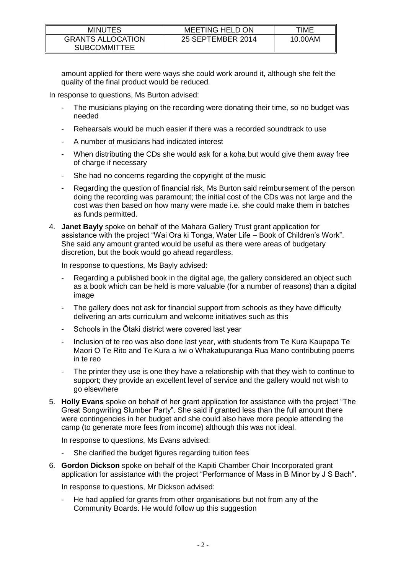| <b>MINUTES</b>                                  | <b>MEETING HELD ON</b> | TIME    |
|-------------------------------------------------|------------------------|---------|
| <b>GRANTS ALLOCATION</b><br><b>SUBCOMMITTEE</b> | 25 SEPTEMBER 2014      | 10.00AM |

amount applied for there were ways she could work around it, although she felt the quality of the final product would be reduced.

In response to questions, Ms Burton advised:

- The musicians playing on the recording were donating their time, so no budget was needed
- Rehearsals would be much easier if there was a recorded soundtrack to use
- A number of musicians had indicated interest
- When distributing the CDs she would ask for a koha but would give them away free of charge if necessary
- She had no concerns regarding the copyright of the music
- Regarding the question of financial risk, Ms Burton said reimbursement of the person doing the recording was paramount; the initial cost of the CDs was not large and the cost was then based on how many were made i.e. she could make them in batches as funds permitted.
- 4. **Janet Bayly** spoke on behalf of the Mahara Gallery Trust grant application for assistance with the project "Wai Ora ki Tonga, Water Life – Book of Children's Work". She said any amount granted would be useful as there were areas of budgetary discretion, but the book would go ahead regardless.

In response to questions, Ms Bayly advised:

- Regarding a published book in the digital age, the gallery considered an object such as a book which can be held is more valuable (for a number of reasons) than a digital image
- The gallery does not ask for financial support from schools as they have difficulty delivering an arts curriculum and welcome initiatives such as this
- Schools in the Ōtaki district were covered last year
- Inclusion of te reo was also done last year, with students from Te Kura Kaupapa Te Maori O Te Rito and Te Kura a iwi o Whakatupuranga Rua Mano contributing poems in te reo
- The printer they use is one they have a relationship with that they wish to continue to support; they provide an excellent level of service and the gallery would not wish to go elsewhere
- 5. **Holly Evans** spoke on behalf of her grant application for assistance with the project "The Great Songwriting Slumber Party". She said if granted less than the full amount there were contingencies in her budget and she could also have more people attending the camp (to generate more fees from income) although this was not ideal.

In response to questions, Ms Evans advised:

- She clarified the budget figures regarding tuition fees
- 6. **Gordon Dickson** spoke on behalf of the Kapiti Chamber Choir Incorporated grant application for assistance with the project "Performance of Mass in B Minor by J S Bach".

In response to questions, Mr Dickson advised:

He had applied for grants from other organisations but not from any of the Community Boards. He would follow up this suggestion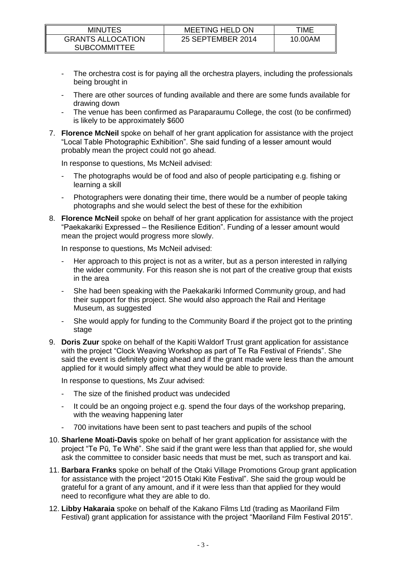| <b>MINUTES</b>                                  | <b>MEETING HELD ON</b> | TIME    |
|-------------------------------------------------|------------------------|---------|
| <b>GRANTS ALLOCATION</b><br><b>SUBCOMMITTEE</b> | 25 SEPTEMBER 2014      | 10.00AM |

- The orchestra cost is for paying all the orchestra players, including the professionals being brought in
- There are other sources of funding available and there are some funds available for drawing down
- The venue has been confirmed as Paraparaumu College, the cost (to be confirmed) is likely to be approximately \$600
- 7. **Florence McNeil** spoke on behalf of her grant application for assistance with the project "Local Table Photographic Exhibition". She said funding of a lesser amount would probably mean the project could not go ahead.

In response to questions, Ms McNeil advised:

- The photographs would be of food and also of people participating e.g. fishing or learning a skill
- Photographers were donating their time, there would be a number of people taking photographs and she would select the best of these for the exhibition
- 8. **Florence McNeil** spoke on behalf of her grant application for assistance with the project "Paekakariki Expressed – the Resilience Edition". Funding of a lesser amount would mean the project would progress more slowly.

In response to questions, Ms McNeil advised:

- Her approach to this project is not as a writer, but as a person interested in rallying the wider community. For this reason she is not part of the creative group that exists in the area
- She had been speaking with the Paekakariki Informed Community group, and had their support for this project. She would also approach the Rail and Heritage Museum, as suggested
- She would apply for funding to the Community Board if the project got to the printing stage
- 9. **Doris Zuur** spoke on behalf of the Kapiti Waldorf Trust grant application for assistance with the project "Clock Weaving Workshop as part of Te Ra Festival of Friends". She said the event is definitely going ahead and if the grant made were less than the amount applied for it would simply affect what they would be able to provide.

In response to questions, Ms Zuur advised:

- The size of the finished product was undecided
- It could be an ongoing project e.g. spend the four days of the workshop preparing, with the weaving happening later
- 700 invitations have been sent to past teachers and pupils of the school
- 10. **Sharlene Moati-Davis** spoke on behalf of her grant application for assistance with the project "Te Pū, Te Whē". She said if the grant were less than that applied for, she would ask the committee to consider basic needs that must be met, such as transport and kai.
- 11. **Barbara Franks** spoke on behalf of the Otaki Village Promotions Group grant application for assistance with the project "2015 Otaki Kite Festival". She said the group would be grateful for a grant of any amount, and if it were less than that applied for they would need to reconfigure what they are able to do.
- 12. **Libby Hakaraia** spoke on behalf of the Kakano Films Ltd (trading as Maoriland Film Festival) grant application for assistance with the project "Maoriland Film Festival 2015".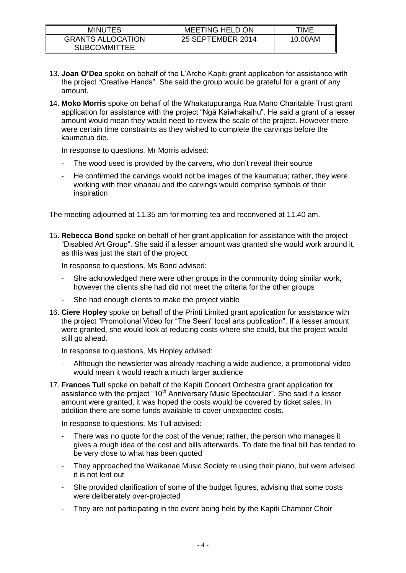| <b>MINUTES</b>                                  | MEETING HELD ON   | TIME    |
|-------------------------------------------------|-------------------|---------|
| <b>GRANTS ALLOCATION</b><br><b>SUBCOMMITTEE</b> | 25 SEPTEMBER 2014 | 10.00AM |

- 13. **Joan O'Dea** spoke on behalf of the L'Arche Kapiti grant application for assistance with the project "Creative Hands". She said the group would be grateful for a grant of any amount.
- 14. **Moko Morris** spoke on behalf of the Whakatupuranga Rua Mano Charitable Trust grant application for assistance with the project "Ngā Kaiwhakaihu". He said a grant of a lesser amount would mean they would need to review the scale of the project. However there were certain time constraints as they wished to complete the carvings before the kaumatua die.

In response to questions, Mr Morris advised:

- The wood used is provided by the carvers, who don't reveal their source
- He confirmed the carvings would not be images of the kaumatua; rather, they were working with their whanau and the carvings would comprise symbols of their inspiration

The meeting adjourned at 11.35 am for morning tea and reconvened at 11.40 am.

15. **Rebecca Bond** spoke on behalf of her grant application for assistance with the project "Disabled Art Group". She said if a lesser amount was granted she would work around it, as this was just the start of the project.

In response to questions, Ms Bond advised:

- She acknowledged there were other groups in the community doing similar work, however the clients she had did not meet the criteria for the other groups
- She had enough clients to make the project viable
- 16. **Ciere Hopley** spoke on behalf of the Printi Limited grant application for assistance with the project "Promotional Video for "The Seen" local arts publication". If a lesser amount were granted, she would look at reducing costs where she could, but the project would still go ahead.

In response to questions, Ms Hopley advised:

- Although the newsletter was already reaching a wide audience, a promotional video would mean it would reach a much larger audience
- 17. **Frances Tull** spoke on behalf of the Kapiti Concert Orchestra grant application for assistance with the project "10<sup>th</sup> Anniversary Music Spectacular". She said if a lesser amount were granted, it was hoped the costs would be covered by ticket sales. In addition there are some funds available to cover unexpected costs.

In response to questions, Ms Tull advised:

- There was no quote for the cost of the venue; rather, the person who manages it gives a rough idea of the cost and bills afterwards. To date the final bill has tended to be very close to what has been quoted
- They approached the Waikanae Music Society re using their piano, but were advised it is not lent out
- She provided clarification of some of the budget figures, advising that some costs were deliberately over-projected
- They are not participating in the event being held by the Kapiti Chamber Choir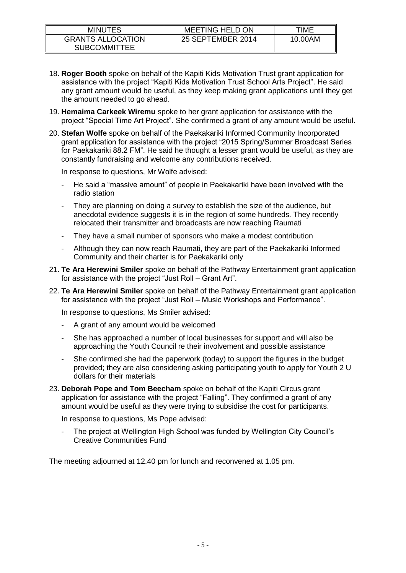| <b>MINUTES</b>                                  | <b>MEETING HELD ON</b> | TIME    |
|-------------------------------------------------|------------------------|---------|
| <b>GRANTS ALLOCATION</b><br><b>SUBCOMMITTEE</b> | 25 SEPTEMBER 2014      | 10.00AM |

- 18. **Roger Booth** spoke on behalf of the Kapiti Kids Motivation Trust grant application for assistance with the project "Kapiti Kids Motivation Trust School Arts Project". He said any grant amount would be useful, as they keep making grant applications until they get the amount needed to go ahead.
- 19. **Hemaima Carkeek Wiremu** spoke to her grant application for assistance with the project "Special Time Art Project". She confirmed a grant of any amount would be useful.
- 20. **Stefan Wolfe** spoke on behalf of the Paekakariki Informed Community Incorporated grant application for assistance with the project "2015 Spring/Summer Broadcast Series for Paekakariki 88.2 FM". He said he thought a lesser grant would be useful, as they are constantly fundraising and welcome any contributions received.

In response to questions, Mr Wolfe advised:

- He said a "massive amount" of people in Paekakariki have been involved with the radio station
- They are planning on doing a survey to establish the size of the audience, but anecdotal evidence suggests it is in the region of some hundreds. They recently relocated their transmitter and broadcasts are now reaching Raumati
- They have a small number of sponsors who make a modest contribution
- Although they can now reach Raumati, they are part of the Paekakariki Informed Community and their charter is for Paekakariki only
- 21. **Te Ara Herewini Smiler** spoke on behalf of the Pathway Entertainment grant application for assistance with the project "Just Roll – Grant Art".
- 22. **Te Ara Herewini Smiler** spoke on behalf of the Pathway Entertainment grant application for assistance with the project "Just Roll – Music Workshops and Performance".

In response to questions, Ms Smiler advised:

- A grant of any amount would be welcomed
- She has approached a number of local businesses for support and will also be approaching the Youth Council re their involvement and possible assistance
- She confirmed she had the paperwork (today) to support the figures in the budget provided; they are also considering asking participating youth to apply for Youth 2 U dollars for their materials
- 23. **Deborah Pope and Tom Beecham** spoke on behalf of the Kapiti Circus grant application for assistance with the project "Falling". They confirmed a grant of any amount would be useful as they were trying to subsidise the cost for participants.

In response to questions, Ms Pope advised:

The project at Wellington High School was funded by Wellington City Council's Creative Communities Fund

The meeting adjourned at 12.40 pm for lunch and reconvened at 1.05 pm.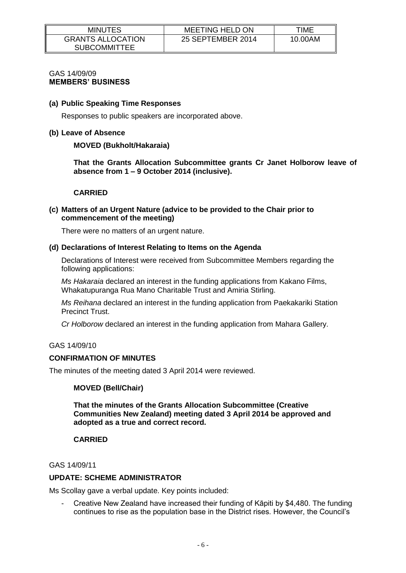| <b>MINUTES</b>                                  | <b>MEETING HELD ON</b> | TIME    |
|-------------------------------------------------|------------------------|---------|
| <b>GRANTS ALLOCATION</b><br><b>SUBCOMMITTEE</b> | 25 SEPTEMBER 2014      | 10.00AM |

#### GAS 14/09/09 **MEMBERS' BUSINESS**

#### **(a) Public Speaking Time Responses**

Responses to public speakers are incorporated above.

#### **(b) Leave of Absence**

## **MOVED (Bukholt/Hakaraia)**

**That the Grants Allocation Subcommittee grants Cr Janet Holborow leave of absence from 1 – 9 October 2014 (inclusive).**

#### **CARRIED**

#### **(c) Matters of an Urgent Nature (advice to be provided to the Chair prior to commencement of the meeting)**

There were no matters of an urgent nature.

#### **(d) Declarations of Interest Relating to Items on the Agenda**

Declarations of Interest were received from Subcommittee Members regarding the following applications:

*Ms Hakaraia* declared an interest in the funding applications from Kakano Films, Whakatupuranga Rua Mano Charitable Trust and Amiria Stirling.

*Ms Reihana* declared an interest in the funding application from Paekakariki Station Precinct Trust.

*Cr Holborow* declared an interest in the funding application from Mahara Gallery.

# GAS 14/09/10

# **CONFIRMATION OF MINUTES**

The minutes of the meeting dated 3 April 2014 were reviewed.

# **MOVED (Bell/Chair)**

**That the minutes of the Grants Allocation Subcommittee (Creative Communities New Zealand) meeting dated 3 April 2014 be approved and adopted as a true and correct record.**

# **CARRIED**

# GAS 14/09/11

# **UPDATE: SCHEME ADMINISTRATOR**

Ms Scollay gave a verbal update. Key points included:

- Creative New Zealand have increased their funding of Kāpiti by \$4,480. The funding continues to rise as the population base in the District rises. However, the Council's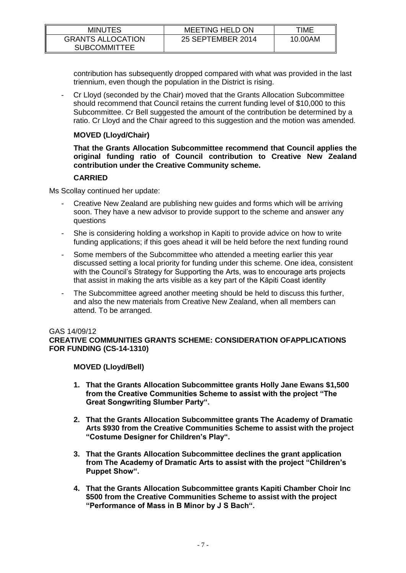| <b>MINUTES</b>                                  | MEETING HELD ON   | TIME    |
|-------------------------------------------------|-------------------|---------|
| <b>GRANTS ALLOCATION</b><br><b>SUBCOMMITTEE</b> | 25 SEPTEMBER 2014 | 10.00AM |

contribution has subsequently dropped compared with what was provided in the last triennium, even though the population in the District is rising.

- Cr Lloyd (seconded by the Chair) moved that the Grants Allocation Subcommittee should recommend that Council retains the current funding level of \$10,000 to this Subcommittee. Cr Bell suggested the amount of the contribution be determined by a ratio. Cr Lloyd and the Chair agreed to this suggestion and the motion was amended.

# **MOVED (Lloyd/Chair)**

**That the Grants Allocation Subcommittee recommend that Council applies the original funding ratio of Council contribution to Creative New Zealand contribution under the Creative Community scheme.** 

# **CARRIED**

Ms Scollay continued her update:

- Creative New Zealand are publishing new guides and forms which will be arriving soon. They have a new advisor to provide support to the scheme and answer any questions
- She is considering holding a workshop in Kapiti to provide advice on how to write funding applications; if this goes ahead it will be held before the next funding round
- Some members of the Subcommittee who attended a meeting earlier this year discussed setting a local priority for funding under this scheme. One idea, consistent with the Council's Strategy for Supporting the Arts, was to encourage arts projects that assist in making the arts visible as a key part of the Kāpiti Coast identity
- The Subcommittee agreed another meeting should be held to discuss this further, and also the new materials from Creative New Zealand, when all members can attend. To be arranged.

#### GAS 14/09/12

**CREATIVE COMMUNITIES GRANTS SCHEME: CONSIDERATION OFAPPLICATIONS FOR FUNDING (CS-14-1310)**

**MOVED (Lloyd/Bell)**

- **1. That the Grants Allocation Subcommittee grants Holly Jane Ewans \$1,500 from the Creative Communities Scheme to assist with the project "The Great Songwriting Slumber Party".**
- **2. That the Grants Allocation Subcommittee grants The Academy of Dramatic Arts \$930 from the Creative Communities Scheme to assist with the project "Costume Designer for Children's Play".**
- **3. That the Grants Allocation Subcommittee declines the grant application from The Academy of Dramatic Arts to assist with the project "Children's Puppet Show".**
- **4. That the Grants Allocation Subcommittee grants Kapiti Chamber Choir Inc \$500 from the Creative Communities Scheme to assist with the project "Performance of Mass in B Minor by J S Bach".**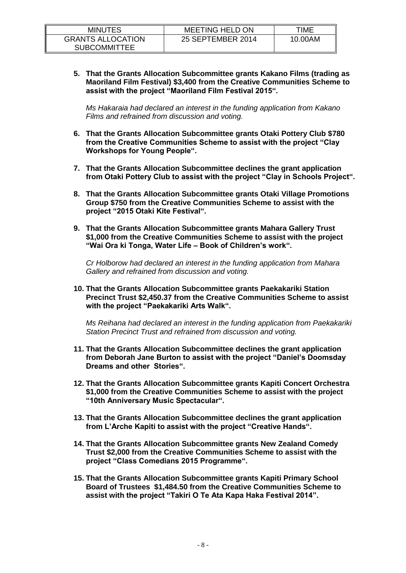| <b>MINUTES</b>                                  | <b>MEETING HELD ON</b> | TIME    |
|-------------------------------------------------|------------------------|---------|
| <b>GRANTS ALLOCATION</b><br><b>SUBCOMMITTEE</b> | 25 SEPTEMBER 2014      | 10.00AM |

**5. That the Grants Allocation Subcommittee grants Kakano Films (trading as Maoriland Film Festival) \$3,400 from the Creative Communities Scheme to assist with the project "Maoriland Film Festival 2015".**

*Ms Hakaraia had declared an interest in the funding application from Kakano Films and refrained from discussion and voting.*

- **6. That the Grants Allocation Subcommittee grants Otaki Pottery Club \$780 from the Creative Communities Scheme to assist with the project "Clay Workshops for Young People".**
- **7. That the Grants Allocation Subcommittee declines the grant application from Otaki Pottery Club to assist with the project "Clay in Schools Project".**
- **8. That the Grants Allocation Subcommittee grants Otaki Village Promotions Group \$750 from the Creative Communities Scheme to assist with the project "2015 Otaki Kite Festival".**
- **9. That the Grants Allocation Subcommittee grants Mahara Gallery Trust \$1,000 from the Creative Communities Scheme to assist with the project "Wai Ora ki Tonga, Water Life – Book of Children's work".**

*Cr Holborow had declared an interest in the funding application from Mahara Gallery and refrained from discussion and voting.*

**10. That the Grants Allocation Subcommittee grants Paekakariki Station Precinct Trust \$2,450.37 from the Creative Communities Scheme to assist with the project "Paekakariki Arts Walk".**

*Ms Reihana had declared an interest in the funding application from Paekakariki Station Precinct Trust and refrained from discussion and voting.*

- **11. That the Grants Allocation Subcommittee declines the grant application from Deborah Jane Burton to assist with the project "Daniel's Doomsday Dreams and other Stories".**
- **12. That the Grants Allocation Subcommittee grants Kapiti Concert Orchestra \$1,000 from the Creative Communities Scheme to assist with the project "10th Anniversary Music Spectacular".**
- **13. That the Grants Allocation Subcommittee declines the grant application from L'Arche Kapiti to assist with the project "Creative Hands".**
- **14. That the Grants Allocation Subcommittee grants New Zealand Comedy Trust \$2,000 from the Creative Communities Scheme to assist with the project "Class Comedians 2015 Programme".**
- **15. That the Grants Allocation Subcommittee grants Kapiti Primary School Board of Trustees \$1,484.50 from the Creative Communities Scheme to assist with the project "Takiri O Te Ata Kapa Haka Festival 2014".**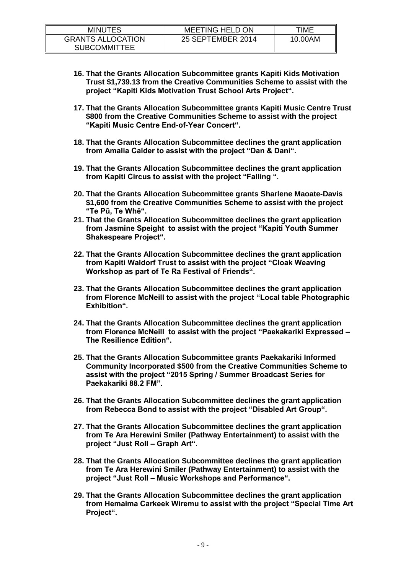| <b>MINUTES</b>                                  | <b>MEETING HELD ON</b> | TIME    |
|-------------------------------------------------|------------------------|---------|
| <b>GRANTS ALLOCATION</b><br><b>SUBCOMMITTEE</b> | 25 SEPTEMBER 2014      | 10.00AM |

- **16. That the Grants Allocation Subcommittee grants Kapiti Kids Motivation Trust \$1,739.13 from the Creative Communities Scheme to assist with the project "Kapiti Kids Motivation Trust School Arts Project".**
- **17. That the Grants Allocation Subcommittee grants Kapiti Music Centre Trust \$800 from the Creative Communities Scheme to assist with the project "Kapiti Music Centre End-of-Year Concert".**
- **18. That the Grants Allocation Subcommittee declines the grant application from Amalia Calder to assist with the project "Dan & Dani".**
- **19. That the Grants Allocation Subcommittee declines the grant application from Kapiti Circus to assist with the project "Falling ".**
- **20. That the Grants Allocation Subcommittee grants Sharlene Maoate-Davis \$1,600 from the Creative Communities Scheme to assist with the project "Te Pū, Te Whē".**
- **21. That the Grants Allocation Subcommittee declines the grant application from Jasmine Speight to assist with the project "Kapiti Youth Summer Shakespeare Project".**
- **22. That the Grants Allocation Subcommittee declines the grant application from Kapiti Waldorf Trust to assist with the project "Cloak Weaving Workshop as part of Te Ra Festival of Friends".**
- **23. That the Grants Allocation Subcommittee declines the grant application from Florence McNeill to assist with the project "Local table Photographic Exhibition".**
- **24. That the Grants Allocation Subcommittee declines the grant application from Florence McNeill to assist with the project "Paekakariki Expressed – The Resilience Edition".**
- **25. That the Grants Allocation Subcommittee grants Paekakariki Informed Community Incorporated \$500 from the Creative Communities Scheme to assist with the project "2015 Spring / Summer Broadcast Series for Paekakariki 88.2 FM".**
- **26. That the Grants Allocation Subcommittee declines the grant application from Rebecca Bond to assist with the project "Disabled Art Group".**
- **27. That the Grants Allocation Subcommittee declines the grant application from Te Ara Herewini Smiler (Pathway Entertainment) to assist with the project "Just Roll – Graph Art".**
- **28. That the Grants Allocation Subcommittee declines the grant application from Te Ara Herewini Smiler (Pathway Entertainment) to assist with the project "Just Roll – Music Workshops and Performance".**
- **29. That the Grants Allocation Subcommittee declines the grant application from Hemaima Carkeek Wiremu to assist with the project "Special Time Art Project".**